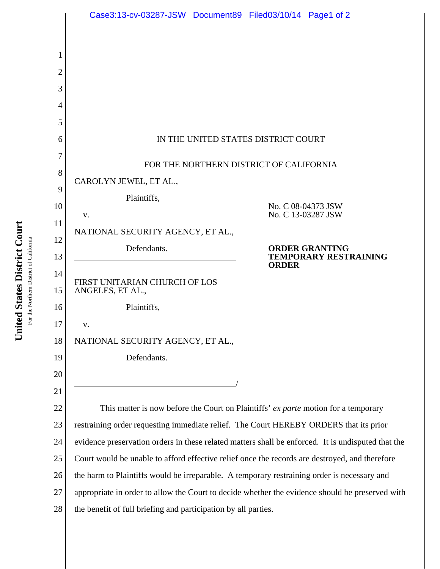

United States District Court **United States District Court** For the Northern District of California For the Northern District of California